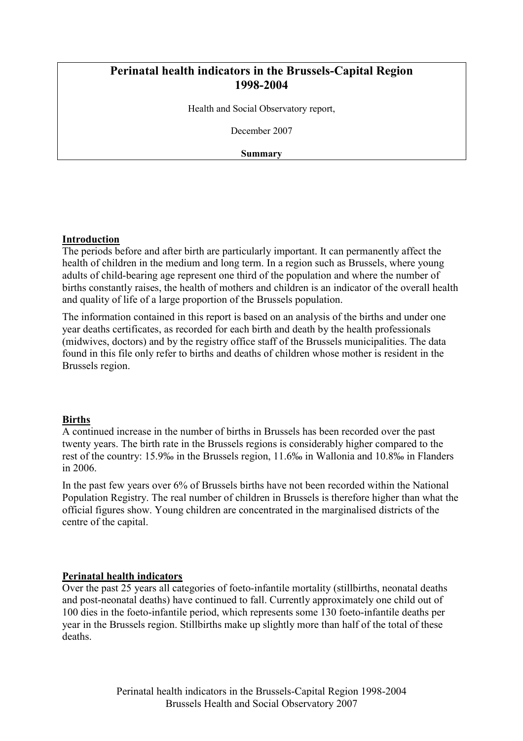# Perinatal health indicators in the Brussels-Capital Region 1998-2004

Health and Social Observatory report,

December 2007

Summary

### Introduction

The periods before and after birth are particularly important. It can permanently affect the health of children in the medium and long term. In a region such as Brussels, where young adults of child-bearing age represent one third of the population and where the number of births constantly raises, the health of mothers and children is an indicator of the overall health and quality of life of a large proportion of the Brussels population.

The information contained in this report is based on an analysis of the births and under one year deaths certificates, as recorded for each birth and death by the health professionals (midwives, doctors) and by the registry office staff of the Brussels municipalities. The data found in this file only refer to births and deaths of children whose mother is resident in the Brussels region.

### **Births**

A continued increase in the number of births in Brussels has been recorded over the past twenty years. The birth rate in the Brussels regions is considerably higher compared to the rest of the country: 15.9‰ in the Brussels region, 11.6‰ in Wallonia and 10.8‰ in Flanders in 2006.

In the past few years over 6% of Brussels births have not been recorded within the National Population Registry. The real number of children in Brussels is therefore higher than what the official figures show. Young children are concentrated in the marginalised districts of the centre of the capital.

### Perinatal health indicators

Over the past 25 years all categories of foeto-infantile mortality (stillbirths, neonatal deaths and post-neonatal deaths) have continued to fall. Currently approximately one child out of 100 dies in the foeto-infantile period, which represents some 130 foeto-infantile deaths per year in the Brussels region. Stillbirths make up slightly more than half of the total of these deaths.